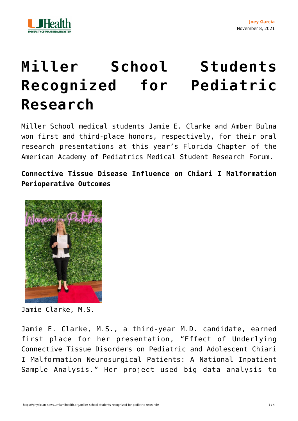



## **[Miller School Students](https://physician-news.umiamihealth.org/miller-school-students-recognized-for-pediatric-research/) [Recognized for Pediatric](https://physician-news.umiamihealth.org/miller-school-students-recognized-for-pediatric-research/) [Research](https://physician-news.umiamihealth.org/miller-school-students-recognized-for-pediatric-research/)**

Miller School medical students Jamie E. Clarke and Amber Bulna won first and third-place honors, respectively, for their oral research presentations at this year's Florida Chapter of the American Academy of Pediatrics Medical Student Research Forum.

**Connective Tissue Disease Influence on Chiari I Malformation Perioperative Outcomes**



Jamie Clarke, M.S.

Jamie E. Clarke, M.S., a third-year M.D. candidate, earned first place for her presentation, "Effect of Underlying Connective Tissue Disorders on Pediatric and Adolescent Chiari I Malformation Neurosurgical Patients: A National Inpatient Sample Analysis." Her project used big data analysis to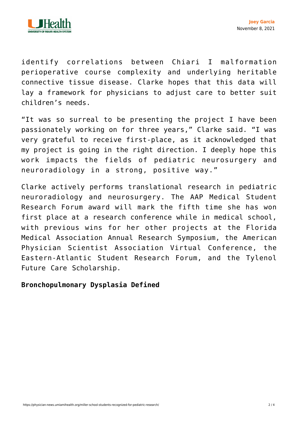

identify correlations between Chiari I malformation perioperative course complexity and underlying heritable connective tissue disease. Clarke hopes that this data will lay a framework for physicians to adjust care to better suit children's needs.

"It was so surreal to be presenting the project I have been passionately working on for three years," Clarke said. "I was very grateful to receive first-place, as it acknowledged that my project is going in the right direction. I deeply hope this work impacts the fields of pediatric neurosurgery and neuroradiology in a strong, positive way."

Clarke actively performs translational research in pediatric neuroradiology and neurosurgery. The AAP Medical Student Research Forum award will mark the fifth time she has won first place at a research conference while in medical school, with previous wins for her other projects at the Florida Medical Association Annual Research Symposium, the American Physician Scientist Association Virtual Conference, the Eastern-Atlantic Student Research Forum, and the Tylenol Future Care Scholarship.

## **Bronchopulmonary Dysplasia Defined**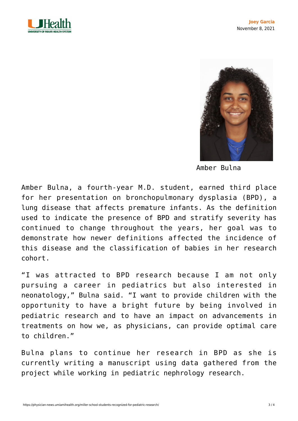



Amber Bulna

Amber Bulna, a fourth-year M.D. student, earned third place for her presentation on bronchopulmonary dysplasia (BPD), a lung disease that affects premature infants. As the definition used to indicate the presence of BPD and stratify severity has continued to change throughout the years, her goal was to demonstrate how newer definitions affected the incidence of this disease and the classification of babies in her research cohort.

"I was attracted to BPD research because I am not only pursuing a career in pediatrics but also interested in neonatology," Bulna said. "I want to provide children with the opportunity to have a bright future by being involved in pediatric research and to have an impact on advancements in treatments on how we, as physicians, can provide optimal care to children."

Bulna plans to continue her research in BPD as she is currently writing a manuscript using data gathered from the project while working in pediatric nephrology research.